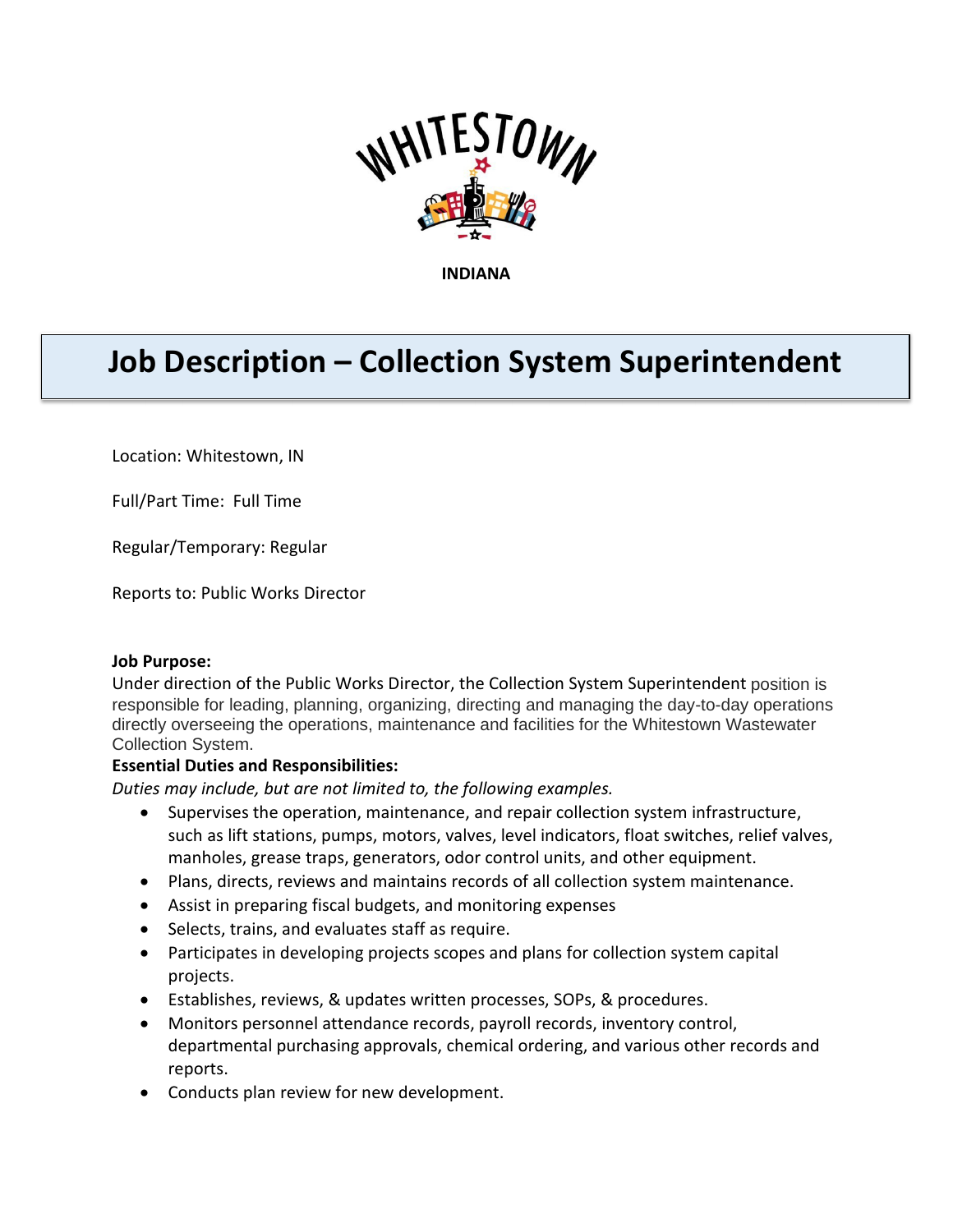

**INDIANA**

# **Job Description – Collection System Superintendent**

Location: Whitestown, IN

Full/Part Time: Full Time

Regular/Temporary: Regular

Reports to: Public Works Director

#### **Job Purpose:**

Under direction of the Public Works Director, the Collection System Superintendent position is responsible for leading, planning, organizing, directing and managing the day-to-day operations directly overseeing the operations, maintenance and facilities for the Whitestown Wastewater Collection System.

#### **Essential Duties and Responsibilities:**

*Duties may include, but are not limited to, the following examples.*

- Supervises the operation, maintenance, and repair collection system infrastructure, such as lift stations, pumps, motors, valves, level indicators, float switches, relief valves, manholes, grease traps, generators, odor control units, and other equipment.
- Plans, directs, reviews and maintains records of all collection system maintenance.
- Assist in preparing fiscal budgets, and monitoring expenses
- Selects, trains, and evaluates staff as require.
- Participates in developing projects scopes and plans for collection system capital projects.
- Establishes, reviews, & updates written processes, SOPs, & procedures.
- Monitors personnel attendance records, payroll records, inventory control, departmental purchasing approvals, chemical ordering, and various other records and reports.
- Conducts plan review for new development.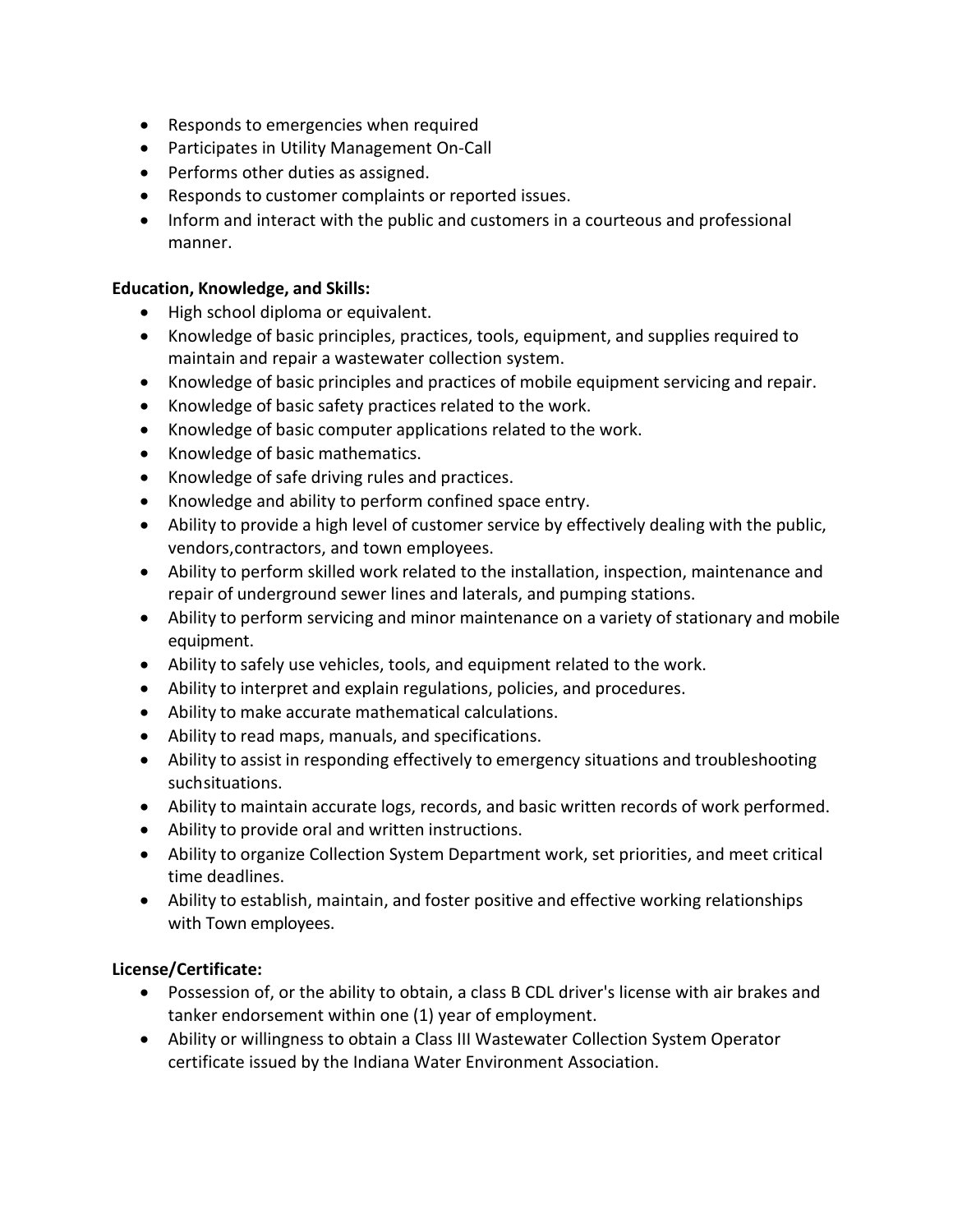- Responds to emergencies when required
- Participates in Utility Management On-Call
- Performs other duties as assigned.
- Responds to customer complaints or reported issues.
- Inform and interact with the public and customers in a courteous and professional manner.

## **Education, Knowledge, and Skills:**

- High school diploma or equivalent.
- Knowledge of basic principles, practices, tools, equipment, and supplies required to maintain and repair a wastewater collection system.
- Knowledge of basic principles and practices of mobile equipment servicing and repair.
- Knowledge of basic safety practices related to the work.
- Knowledge of basic computer applications related to the work.
- Knowledge of basic mathematics.
- Knowledge of safe driving rules and practices.
- Knowledge and ability to perform confined space entry.
- Ability to provide a high level of customer service by effectively dealing with the public, vendors,contractors, and town employees.
- Ability to perform skilled work related to the installation, inspection, maintenance and repair of underground sewer lines and laterals, and pumping stations.
- Ability to perform servicing and minor maintenance on a variety of stationary and mobile equipment.
- Ability to safely use vehicles, tools, and equipment related to the work.
- Ability to interpret and explain regulations, policies, and procedures.
- Ability to make accurate mathematical calculations.
- Ability to read maps, manuals, and specifications.
- Ability to assist in responding effectively to emergency situations and troubleshooting suchsituations.
- Ability to maintain accurate logs, records, and basic written records of work performed.
- Ability to provide oral and written instructions.
- Ability to organize Collection System Department work, set priorities, and meet critical time deadlines.
- Ability to establish, maintain, and foster positive and effective working relationships with Town employees.

## **License/Certificate:**

- Possession of, or the ability to obtain, a class B CDL driver's license with air brakes and tanker endorsement within one (1) year of employment.
- Ability or willingness to obtain a Class III Wastewater Collection System Operator certificate issued by the Indiana Water Environment Association.